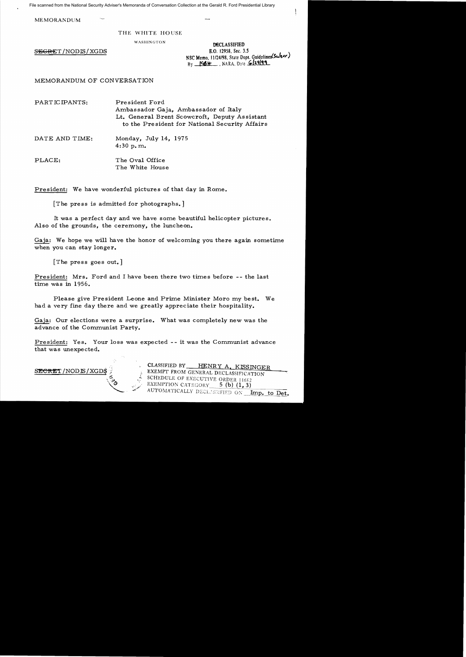File scanned from the National Security Adviser's Memoranda of Conversation Collection at the Gerald R. Ford Presidential Library

MEMORANDUM

## THE WHITE HOUSE

WASHINGTON **DECLASSIFIED**<br>**E.O.** 12958, Sec. 3.5  $S \to \text{ERET} / \text{NODIS} / \text{XGDS}$  E.O. 12958, Sec. 3.5 ,  $\mathcal{L} \left( \mathcal{L} \right)$ NSC Memo, 11/24/98, State Dept. GuidelinesCourser.  $By$   $156H$ , NARA, Date  $629199$ 

MEMORANDUM OF CONVERSATION

PARTICIPANTS: President Ford Ambassador Gaja, Ambassador of Italy Lt. General Brent Scowcroft, Deputy As sistant to the Pre sident for National Security Affairs

DATE AND TIME: Monday, July 14, 1975 4:30 p.m.

PLACE: The Oval Office The White House

President: We have wonderful pictures of that day in Rome.

[The press is admitted for photographs.]

It was a perfect day and we have some beautiful helicopter pictures. Also of the grounds, the ceremony, the luncheon.

Gaja: We hope we will have the honor of welcoming you there again sometime when you can stay longer.

[The press goes out.]

President: Mrs. Ford and I have been there two times before -- the last time was in 1956.

Please give President Leone and Prime Minister Moro my best. We had a very fine day there and we greatly appreciate their hospitality.

Gaja: Our elections were a surprise. What was completely new was the advance of the Communist Party.

President: Yes. Your loss was expected -- it was the Communist advance that was unexpected.



CLASSIFIED BY HENRY A. KISSINGER EXEMPT FROM GENERAL DECLASSIFICATION SCHEDULE OF EXECUTIVE ORDER 11652 EXEMPTION CATEGORY 5 (b) (1, 3) AUTOMATICALLY DECLASSIFIED ON Imp. to Det.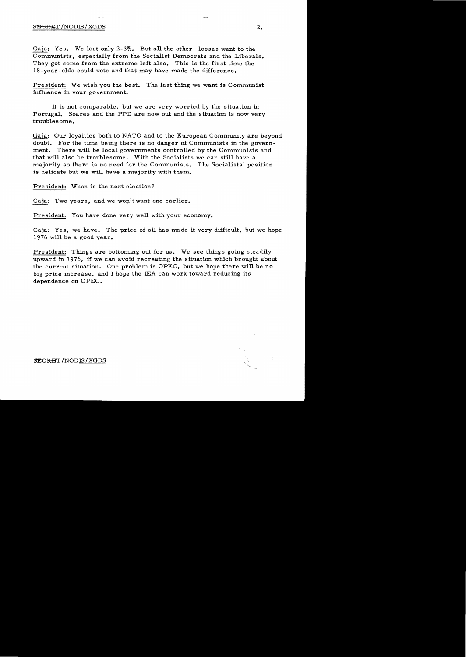## $SEGRET/NODIS/XGDS$  2.

Gaja: Yes. We lost only  $2-3\%$ . But all the other losses went to the Communists, especially from the Socialist Democrats and the Liberals. They got some from the extreme left also. This is the first time the 18-year-olds could vote and that may have made the difference.

President: We wish you the best. The last thing we want is Communist influence in your government.

It is not comparable, but we are very worried by the situation in Portugal. Soares and the PPD are now out and the situation is now very troublesome.

Gaja: Our loyalties both to NATO and to the European Community are beyond doubt. For the time being there is no danger of Communists in the government. There will be local governments controlled by the Communists and that will also be troublesome. With the Socialists we can still have a majority so there is no need for the Communists. The Socialists' position is delicate but we will have a majority with them.

President: When is the next election?

Gaja: Two years, and we won't want one earlier.

President: You have done very well with your economy.

Gaja: Yes, we have. The price of oil has made it very difficult, but we hope 1976 will be a good year.

President: Things are bottoming out for us. We see things going steadily upward in 1976, if we can avoid recreating the situation which brought about the current situation. One problem is OPEC, but we hope there will be no big price increase, and I hope the IEA can work toward reducing its dependence on OPEC.



SE<del>CRE</del>T/NODIS/XGDS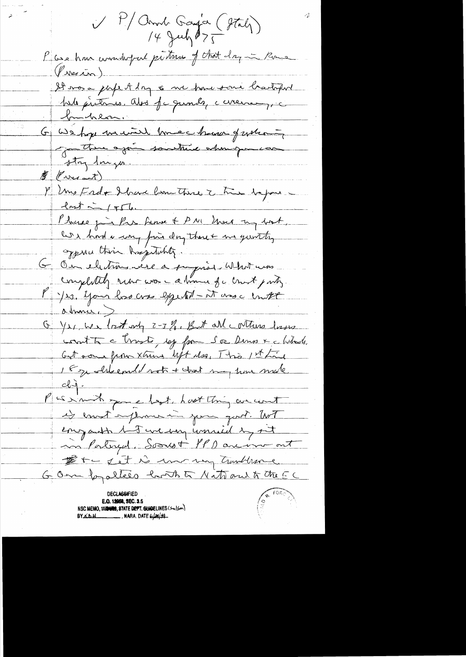V P/ Arnd Gaya (Staly) P case hour commandant partonne of that day in Rome  $\n *( Area*  $\overline{L}_{\Omega}$  )$ It vos a pape A day os me pour son è bastopol G We hope munt have been future Justin ajour southund whenigourcan  $\oint$  ( we and ) P Uns Erdo Ibrare bom Thise 2 très bapons.  $l$ nst in  $156$ . Phone gin Par Lunne & PM Une my book, les had a complain day though me gunthy Oppine this haptakity. Ou electron vise a popios Whit was completely return was - a time for crust party. M Jes. Your hos cross expedit - it was c until abraire GYS, We lost up 2-3 %, But all cotture lasse count to a trusts, esp from Soa Dens x a listade. Get some from xtuns lift des, This 1st Line 18 je alsbemuld sot + tast may home made Pasimit que lest hast this we cent es enot employer in juin quot. Wit engant let we my unried by set in Portugal. Soonst 4PD are ver out Det i det is morning trunbleme. GOm fogallees both to National to the CC **E.O. 12068, SEC. 3.5** NSC MEMO, 1179409, STATE DEPT. GUIDELINES (Su)Sm) **BY KbH** NARA DATE 6/29/99